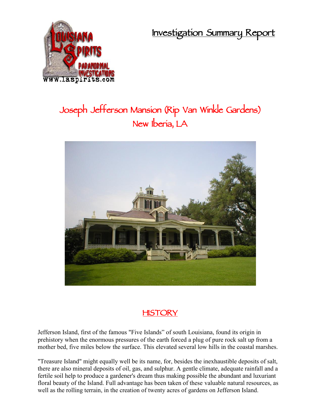**Investigation Summary Report**



## **Joseph Jefferson Mansion (Rip Van Winkle Gardens) New Iberia, LA**



## **HISTORY**

Jefferson Island, first of the famous "Five Islands" of south Louisiana, found its origin in prehistory when the enormous pressures of the earth forced a plug of pure rock salt up from a mother bed, five miles below the surface. This elevated several low hills in the coastal marshes.

"Treasure Island" might equally well be its name, for, besides the inexhaustible deposits of salt, there are also mineral deposits of oil, gas, and sulphur. A gentle climate, adequate rainfall and a fertile soil help to produce a gardener's dream thus making possible the abundant and luxuriant floral beauty of the Island. Full advantage has been taken of these valuable natural resources, as well as the rolling terrain, in the creation of twenty acres of gardens on Jefferson Island.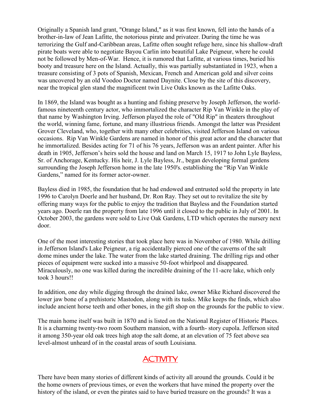Originally a Spanish land grant, "Orange Island," as it was first known, fell into the hands of a brother-in-law of Jean Lafitte, the notorious pirate and privateer. During the time he was terrorizing the Gulf and-Caribbean areas, Lafitte often sought refuge here, since his shallow-draft pirate boats were able to negotiate Bayou Carlin into beautiful Lake Peigneur, where he could not be followed by Men-of-War. Hence, it is rumored that Lafitte, at various times, buried his booty and treasure here on the Island. Actually, this was partially substantiated in 1923, when a treasure consisting of 3 pots of Spanish, Mexican, French and American gold and silver coins was uncovered by an old Voodoo Doctor named Daynite. Close by the site of this discovery, near the tropical glen stand the magnificent twin Live Oaks known as the Lafitte Oaks.

In 1869, the Island was bought as a hunting and fishing preserve by Joseph Jefferson, the worldfamous nineteenth century actor, who immortalized the character Rip Van Winkle in the play of that name by Washington Irving. Jefferson played the role of "Old Rip" in theaters throughout the world, winning fame, fortune, and many illustrious friends. Amongst the latter was President Grover Cleveland, who, together with many other celebrities, visited Jefferson Island on various occasions. Rip Van Winkle Gardens are named in honor of this great actor and the character that he immortalized. Besides acting for 71 of his 76 years, Jefferson was an ardent painter. After his death in 1905, Jefferson's heirs sold the house and land on March 15, 1917 to John Lyle Bayless, Sr. of Anchorage, Kentucky. His heir, J. Lyle Bayless, Jr., began developing formal gardens surrounding the Joseph Jefferson home in the late 1950's. establishing the "Rip Van Winkle Gardens," named for its former actor-owner.

Bayless died in 1985, the foundation that he had endowed and entrusted sold the property in late 1996 to Carolyn Doerle and her husband, Dr. Ron Ray. They set out to revitalize the site by offering many ways for the public to enjoy the tradition that Bayless and the Foundation started years ago. Doerle ran the property from late 1996 until it closed to the public in July of 2001. In October 2003, the gardens were sold to Live Oak Gardens, LTD which operates the nursery next door.

One of the most interesting stories that took place here was in November of 1980. While drilling in Jefferson Island's Lake Peigneur, a rig accidentally pierced one of the caverns of the salt dome mines under the lake. The water from the lake started draining. The drilling rigs and other pieces of equipment were sucked into a massive 50-foot whirlpool and disappeared. Miraculously, no one was killed during the incredible draining of the 11-acre lake, which only took 3 hours!!

In addition, one day while digging through the drained lake, owner Mike Richard discovered the lower jaw bone of a prehistoric Mastodon, along with its tusks. Mike keeps the finds, which also include ancient horse teeth and other bones, in the gift shop on the grounds for the public to view.

The main home itself was built in 1870 and is listed on the National Register of Historic Places. It is a charming twenty-two room Southern mansion, with a fourth- story cupola. Jefferson sited it among 350-year old oak trees high atop the salt dome, at an elevation of 75 feet above sea level-almost unheard of in the coastal areas of south Louisiana.

## **ACTIVITY**

There have been many stories of different kinds of activity all around the grounds. Could it be the home owners of previous times, or even the workers that have mined the property over the history of the island, or even the pirates said to have buried treasure on the grounds? It was a